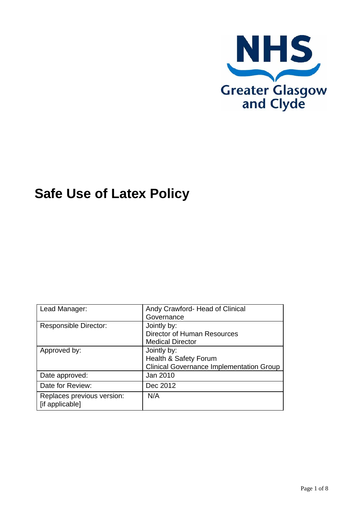

# **Safe Use of Latex Policy**

| Lead Manager:                                 | Andy Crawford- Head of Clinical                 |
|-----------------------------------------------|-------------------------------------------------|
|                                               | Governance                                      |
| <b>Responsible Director:</b>                  | Jointly by:                                     |
|                                               | Director of Human Resources                     |
|                                               | <b>Medical Director</b>                         |
| Approved by:                                  | Jointly by:                                     |
|                                               | Health & Safety Forum                           |
|                                               | <b>Clinical Governance Implementation Group</b> |
| Date approved:                                | Jan 2010                                        |
| Date for Review:                              | Dec 2012                                        |
| Replaces previous version:<br>[if applicable] | N/A                                             |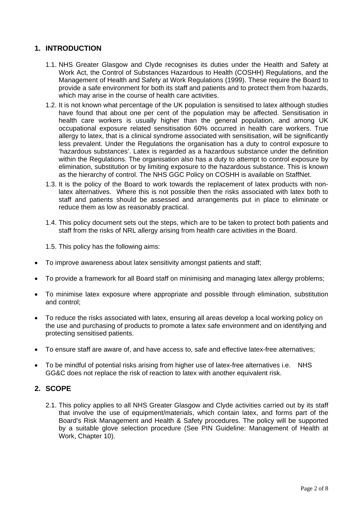## **1. INTRODUCTION**

- 1.1. NHS Greater Glasgow and Clyde recognises its duties under the Health and Safety at Work Act, the Control of Substances Hazardous to Health (COSHH) Regulations, and the Management of Health and Safety at Work Regulations (1999). These require the Board to provide a safe environment for both its staff and patients and to protect them from hazards, which may arise in the course of health care activities.
- 1.2. It is not known what percentage of the UK population is sensitised to latex although studies have found that about one per cent of the population may be affected. Sensitisation in health care workers is usually higher than the general population, and among UK occupational exposure related sensitisation 60% occurred in health care workers. True allergy to latex, that is a clinical syndrome associated with sensitisation, will be significantly less prevalent. Under the Regulations the organisation has a duty to control exposure to 'hazardous substances'. Latex is regarded as a hazardous substance under the definition within the Regulations. The organisation also has a duty to attempt to control exposure by elimination, substitution or by limiting exposure to the hazardous substance. This is known as the hierarchy of control. The NHS GGC Policy on COSHH is available on StaffNet.
- 1.3. It is the policy of the Board to work towards the replacement of latex products with nonlatex alternatives. Where this is not possible then the risks associated with latex both to staff and patients should be assessed and arrangements put in place to eliminate or reduce them as low as reasonably practical.
- 1.4. This policy document sets out the steps, which are to be taken to protect both patients and staff from the risks of NRL allergy arising from health care activities in the Board.

1.5. This policy has the following aims:

- To improve awareness about latex sensitivity amongst patients and staff;
- To provide a framework for all Board staff on minimising and managing latex allergy problems;
- To minimise latex exposure where appropriate and possible through elimination, substitution and control;
- To reduce the risks associated with latex, ensuring all areas develop a local working policy on the use and purchasing of products to promote a latex safe environment and on identifying and protecting sensitised patients.
- To ensure staff are aware of, and have access to, safe and effective latex-free alternatives;
- To be mindful of potential risks arising from higher use of latex-free alternatives i.e. NHS GG&C does not replace the risk of reaction to latex with another equivalent risk.

## **2. SCOPE**

2.1. This policy applies to all NHS Greater Glasgow and Clyde activities carried out by its staff that involve the use of equipment/materials, which contain latex, and forms part of the Board's Risk Management and Health & Safety procedures. The policy will be supported by a suitable glove selection procedure (See PIN Guideline: Management of Health at Work, Chapter 10).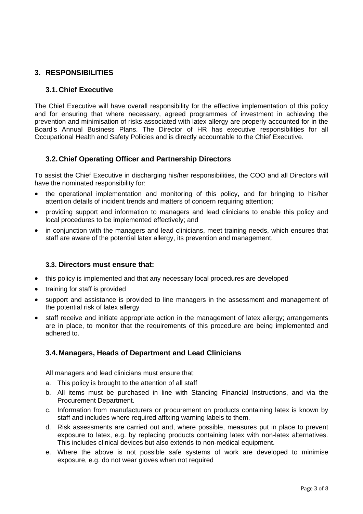# **3. RESPONSIBILITIES**

## **3.1.Chief Executive**

The Chief Executive will have overall responsibility for the effective implementation of this policy and for ensuring that where necessary, agreed programmes of investment in achieving the prevention and minimisation of risks associated with latex allergy are properly accounted for in the Board's Annual Business Plans. The Director of HR has executive responsibilities for all Occupational Health and Safety Policies and is directly accountable to the Chief Executive.

## **3.2.Chief Operating Officer and Partnership Directors**

To assist the Chief Executive in discharging his/her responsibilities, the COO and all Directors will have the nominated responsibility for:

- the operational implementation and monitoring of this policy, and for bringing to his/her attention details of incident trends and matters of concern requiring attention;
- providing support and information to managers and lead clinicians to enable this policy and local procedures to be implemented effectively; and
- in conjunction with the managers and lead clinicians, meet training needs, which ensures that staff are aware of the potential latex allergy, its prevention and management.

## **3.3. Directors must ensure that:**

- this policy is implemented and that any necessary local procedures are developed
- training for staff is provided
- support and assistance is provided to line managers in the assessment and management of the potential risk of latex allergy
- staff receive and initiate appropriate action in the management of latex allergy; arrangements are in place, to monitor that the requirements of this procedure are being implemented and adhered to.

## **3.4. Managers, Heads of Department and Lead Clinicians**

All managers and lead clinicians must ensure that:

- a. This policy is brought to the attention of all staff
- b. All items must be purchased in line with Standing Financial Instructions, and via the Procurement Department.
- c. Information from manufacturers or procurement on products containing latex is known by staff and includes where required affixing warning labels to them.
- d. Risk assessments are carried out and, where possible, measures put in place to prevent exposure to latex, e.g. by replacing products containing latex with non-latex alternatives. This includes clinical devices but also extends to non-medical equipment.
- e. Where the above is not possible safe systems of work are developed to minimise exposure, e.g. do not wear gloves when not required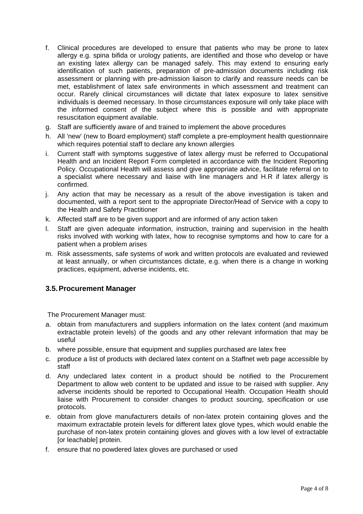- f. Clinical procedures are developed to ensure that patients who may be prone to latex allergy e.g. spina bifida or urology patients, are identified and those who develop or have an existing latex allergy can be managed safely. This may extend to ensuring early identification of such patients, preparation of pre-admission documents including risk assessment or planning with pre-admission liaison to clarify and reassure needs can be met, establishment of latex safe environments in which assessment and treatment can occur. Rarely clinical circumstances will dictate that latex exposure to latex sensitive individuals is deemed necessary. In those circumstances exposure will only take place with the informed consent of the subject where this is possible and with appropriate resuscitation equipment available.
- g. Staff are sufficiently aware of and trained to implement the above procedures
- h. All 'new' (new to Board employment) staff complete a pre-employment health questionnaire which requires potential staff to declare any known allergies
- i. Current staff with symptoms suggestive of latex allergy must be referred to Occupational Health and an Incident Report Form completed in accordance with the Incident Reporting Policy. Occupational Health will assess and give appropriate advice, facilitate referral on to a specialist where necessary and liaise with line managers and H.R if latex allergy is confirmed.
- j. Any action that may be necessary as a result of the above investigation is taken and documented, with a report sent to the appropriate Director/Head of Service with a copy to the Health and Safety Practitioner
- k. Affected staff are to be given support and are informed of any action taken
- l. Staff are given adequate information, instruction, training and supervision in the health risks involved with working with latex, how to recognise symptoms and how to care for a patient when a problem arises
- m. Risk assessments, safe systems of work and written protocols are evaluated and reviewed at least annually, or when circumstances dictate, e.g. when there is a change in working practices, equipment, adverse incidents, etc.

## **3.5. Procurement Manager**

The Procurement Manager must:

- a. obtain from manufacturers and suppliers information on the latex content (and maximum extractable protein levels) of the goods and any other relevant information that may be useful
- b. where possible, ensure that equipment and supplies purchased are latex free
- c. produce a list of products with declared latex content on a Staffnet web page accessible by staff
- d. Any undeclared latex content in a product should be notified to the Procurement Department to allow web content to be updated and issue to be raised with supplier. Any adverse incidents should be reported to Occupational Health. Occupation Health should liaise with Procurement to consider changes to product sourcing, specification or use protocols.
- e. obtain from glove manufacturers details of non-latex protein containing gloves and the maximum extractable protein levels for different latex glove types, which would enable the purchase of non-latex protein containing gloves and gloves with a low level of extractable [or leachable] protein.
- f. ensure that no powdered latex gloves are purchased or used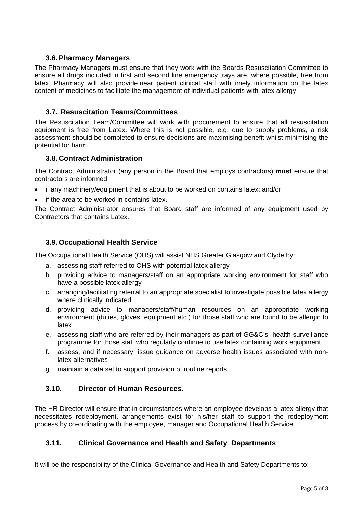## **3.6. Pharmacy Managers**

The Pharmacy Managers must ensure that they work with the Boards Resuscitation Committee to ensure all drugs included in first and second line emergency trays are, where possible, free from latex. Pharmacy will also provide near patient clinical staff with timely information on the latex content of medicines to facilitate the management of individual patients with latex allergy.

### **3.7. Resuscitation Teams/Committees**

The Resuscitation Team/Committee will work with procurement to ensure that all resuscitation equipment is free from Latex. Where this is not possible, e.g. due to supply problems, a risk assessment should be completed to ensure decisions are maximising benefit whilst minimising the potential for harm.

#### **3.8. Contract Administration**

The Contract Administrator (any person in the Board that employs contractors) **must** ensure that contractors are informed:

- if any machinery/equipment that is about to be worked on contains latex; and/or
- if the area to be worked in contains latex.

The Contract Administrator ensures that Board staff are informed of any equipment used by Contractors that contains Latex.

#### **3.9. Occupational Health Service**

The Occupational Health Service (OHS) will assist NHS Greater Glasgow and Clyde by:

- a. assessing staff referred to OHS with potential latex allergy
- b. providing advice to managers/staff on an appropriate working environment for staff who have a possible latex allergy
- c. arranging/facilitating referral to an appropriate specialist to investigate possible latex allergy where clinically indicated
- d. providing advice to managers/staff/human resources on an appropriate working environment (duties, gloves, equipment etc.) for those staff who are found to be allergic to latex
- e. assessing staff who are referred by their managers as part of GG&C's health surveillance programme for those staff who regularly continue to use latex containing work equipment
- f. assess, and if necessary, issue guidance on adverse health issues associated with nonlatex alternatives
- g. maintain a data set to support provision of routine reports.

## **3.10. Director of Human Resources.**

The HR Director will ensure that in circumstances where an employee develops a latex allergy that necessitates redeployment, arrangements exist for his/her staff to support the redeployment process by co-ordinating with the employee, manager and Occupational Health Service.

#### **3.11. Clinical Governance and Health and Safety Departments**

It will be the responsibility of the Clinical Governance and Health and Safety Departments to: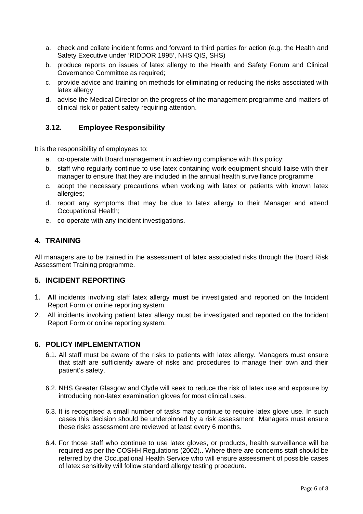- a. check and collate incident forms and forward to third parties for action (e.g. the Health and Safety Executive under 'RIDDOR 1995', NHS QIS, SHS)
- b. produce reports on issues of latex allergy to the Health and Safety Forum and Clinical Governance Committee as required;
- c. provide advice and training on methods for eliminating or reducing the risks associated with latex allergy
- d. advise the Medical Director on the progress of the management programme and matters of clinical risk or patient safety requiring attention.

## **3.12. Employee Responsibility**

It is the responsibility of employees to:

- a. co-operate with Board management in achieving compliance with this policy;
- b. staff who regularly continue to use latex containing work equipment should liaise with their manager to ensure that they are included in the annual health surveillance programme
- c. adopt the necessary precautions when working with latex or patients with known latex allergies;
- d. report any symptoms that may be due to latex allergy to their Manager and attend Occupational Health;
- e. co-operate with any incident investigations.

## **4. TRAINING**

All managers are to be trained in the assessment of latex associated risks through the Board Risk Assessment Training programme.

## **5. INCIDENT REPORTING**

- 1. **All** incidents involving staff latex allergy **must** be investigated and reported on the Incident Report Form or online reporting system.
- 2. All incidents involving patient latex allergy must be investigated and reported on the Incident Report Form or online reporting system.

#### **6. POLICY IMPLEMENTATION**

- 6.1. All staff must be aware of the risks to patients with latex allergy. Managers must ensure that staff are sufficiently aware of risks and procedures to manage their own and their patient's safety.
- 6.2. NHS Greater Glasgow and Clyde will seek to reduce the risk of latex use and exposure by introducing non-latex examination gloves for most clinical uses.
- 6.3. It is recognised a small number of tasks may continue to require latex glove use. In such cases this decision should be underpinned by a risk assessment Managers must ensure these risks assessment are reviewed at least every 6 months.
- 6.4. For those staff who continue to use latex gloves, or products, health surveillance will be required as per the COSHH Regulations (2002).. Where there are concerns staff should be referred by the Occupational Health Service who will ensure assessment of possible cases of latex sensitivity will follow standard allergy testing procedure.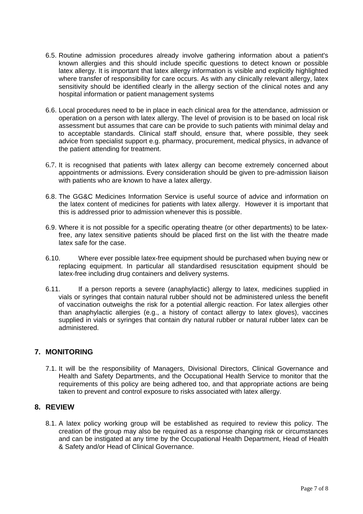- 6.5. Routine admission procedures already involve gathering information about a patient's known allergies and this should include specific questions to detect known or possible latex allergy. It is important that latex allergy information is visible and explicitly highlighted where transfer of responsibility for care occurs. As with any clinically relevant allergy, latex sensitivity should be identified clearly in the allergy section of the clinical notes and any hospital information or patient management systems
- 6.6. Local procedures need to be in place in each clinical area for the attendance, admission or operation on a person with latex allergy. The level of provision is to be based on local risk assessment but assumes that care can be provide to such patients with minimal delay and to acceptable standards. Clinical staff should, ensure that, where possible, they seek advice from specialist support e.g. pharmacy, procurement, medical physics, in advance of the patient attending for treatment.
- 6.7. It is recognised that patients with latex allergy can become extremely concerned about appointments or admissions. Every consideration should be given to pre-admission liaison with patients who are known to have a latex allergy.
- 6.8. The GG&C Medicines Information Service is useful source of advice and information on the latex content of medicines for patients with latex allergy. However it is important that this is addressed prior to admission whenever this is possible.
- 6.9. Where it is not possible for a specific operating theatre (or other departments) to be latexfree, any latex sensitive patients should be placed first on the list with the theatre made latex safe for the case.
- 6.10. Where ever possible latex-free equipment should be purchased when buying new or replacing equipment. In particular all standardised resuscitation equipment should be latex-free including drug containers and delivery systems.
- 6.11. If a person reports a severe (anaphylactic) allergy to latex, medicines supplied in vials or syringes that contain natural rubber should not be administered unless the benefit of vaccination outweighs the risk for a potential allergic reaction. For latex allergies other than anaphylactic allergies (e.g., a history of contact allergy to latex gloves), vaccines supplied in vials or syringes that contain dry natural rubber or natural rubber latex can be administered.

## **7. MONITORING**

7.1. It will be the responsibility of Managers, Divisional Directors, Clinical Governance and Health and Safety Departments, and the Occupational Health Service to monitor that the requirements of this policy are being adhered too, and that appropriate actions are being taken to prevent and control exposure to risks associated with latex allergy.

## **8. REVIEW**

8.1. A latex policy working group will be established as required to review this policy. The creation of the group may also be required as a response changing risk or circumstances and can be instigated at any time by the Occupational Health Department, Head of Health & Safety and/or Head of Clinical Governance.